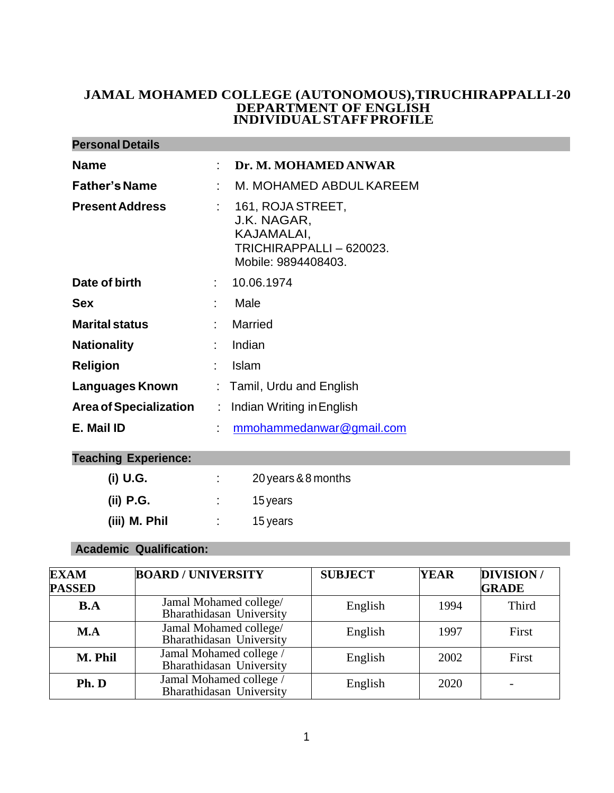### **JAMAL MOHAMED COLLEGE (AUTONOMOUS),TIRUCHIRAPPALLI-20 DEPARTMENT OF ENGLISH INDIVIDUALSTAFFPROFILE**

| <b>Personal Details</b>       |    |                                                                                                   |  |
|-------------------------------|----|---------------------------------------------------------------------------------------------------|--|
| <b>Name</b>                   |    | Dr. M. MOHAMED ANWAR                                                                              |  |
| <b>Father's Name</b>          |    | M. MOHAMED ABDULKAREEM                                                                            |  |
| <b>Present Address</b>        | t. | 161, ROJA STREET,<br>J.K. NAGAR,<br>KAJAMALAI,<br>TRICHIRAPPALLI - 620023.<br>Mobile: 9894408403. |  |
| Date of birth                 | ÷  | 10.06.1974                                                                                        |  |
| <b>Sex</b>                    |    | Male                                                                                              |  |
| <b>Marital status</b>         |    | Married                                                                                           |  |
| <b>Nationality</b>            |    | Indian                                                                                            |  |
| <b>Religion</b>               |    | <b>Islam</b>                                                                                      |  |
| Languages Known               |    | : Tamil, Urdu and English                                                                         |  |
| <b>Area of Specialization</b> | ÷. | Indian Writing in English                                                                         |  |
| E. Mail ID                    |    | mmohammedanwar@gmail.com                                                                          |  |

## **Teaching Experience:**

| (i) U.G.      | 20 years & 8 months |
|---------------|---------------------|
| (ii) P.G.     | 15 years            |
| (iii) M. Phil | 15 years            |

### **Academic Qualification:**

| <b>EXAM</b><br><b>PASSED</b> | <b>BOARD / UNIVERSITY</b>                           | <b>SUBJECT</b> | <b>YEAR</b> | <b>DIVISION/</b><br><b>GRADE</b> |
|------------------------------|-----------------------------------------------------|----------------|-------------|----------------------------------|
| <b>B.A</b>                   | Jamal Mohamed college/<br>Bharathidasan University  | English        | 1994        | Third                            |
| M.A                          | Jamal Mohamed college/<br>Bharathidasan University  | English        | 1997        | First                            |
| M. Phil                      | Jamal Mohamed college /<br>Bharathidasan University | English        | 2002        | First                            |
| Ph. D                        | Jamal Mohamed college /<br>Bharathidasan University | English        | 2020        |                                  |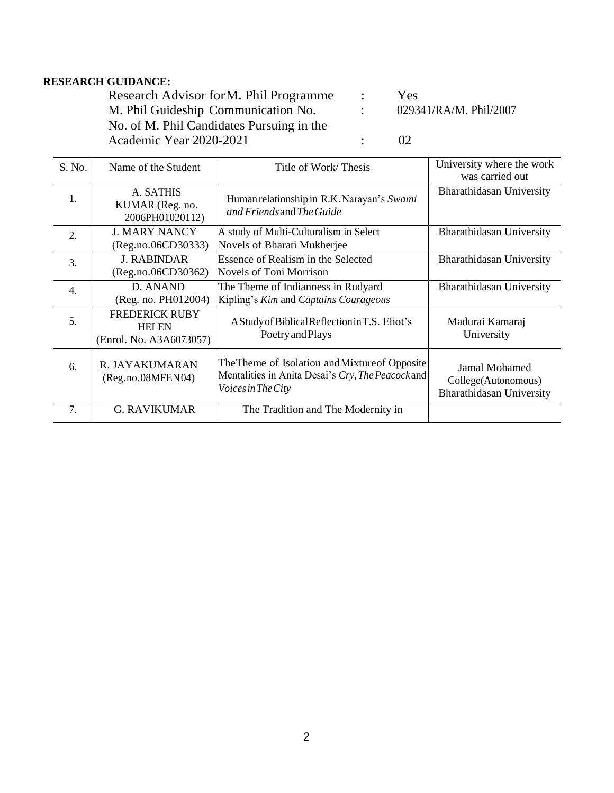### **RESEARCH GUIDANCE:**

Research Advisor for M. Phil Programme : Yes<br>
M. Phil Guideship Communication No. : 029341/RA/M. Phil/2007 M. Phil Guideship Communication No. : No. of M. Phil Candidates Pursuing in the Academic Year 2020-2021 : 02

| S. No.           | Name of the Student                                              | Title of Work/Thesis                                                                                                             | University where the work<br>was carried out                            |
|------------------|------------------------------------------------------------------|----------------------------------------------------------------------------------------------------------------------------------|-------------------------------------------------------------------------|
| 1.               | A. SATHIS<br>KUMAR (Reg. no.<br>2006PH01020112)                  | Human relationship in R.K. Narayan's Swami<br>and Friends and The Guide                                                          | Bharathidasan University                                                |
| $\overline{2}$ . | <b>J. MARY NANCY</b><br>(Reg.no.06CD30333)                       | A study of Multi-Culturalism in Select<br>Novels of Bharati Mukherjee                                                            | <b>Bharathidasan University</b>                                         |
| 3.               | <b>J. RABINDAR</b><br>(Reg.no.06CD30362)                         | Essence of Realism in the Selected<br><b>Novels of Toni Morrison</b>                                                             | Bharathidasan University                                                |
| 4.               | D. ANAND<br>(Reg. no. PH012004)                                  | The Theme of Indianness in Rudyard<br>Kipling's Kim and Captains Courageous                                                      | Bharathidasan University                                                |
| 5.               | <b>FREDERICK RUBY</b><br><b>HELEN</b><br>(Enrol. No. A3A6073057) | A Study of Biblical Reflection in T.S. Eliot's<br>Poetry and Plays                                                               | Madurai Kamaraj<br>University                                           |
| 6.               | R. JAYAKUMARAN<br>(Reg.no.08MFEN04)                              | The Theme of Isolation and Mixture of Opposite<br>Mentalities in Anita Desai's Cry, The Peacock and<br><i>Voices in The City</i> | Jamal Mohamed<br>College(Autonomous)<br><b>Bharathidasan University</b> |
| 7.               | <b>G. RAVIKUMAR</b>                                              | The Tradition and The Modernity in                                                                                               |                                                                         |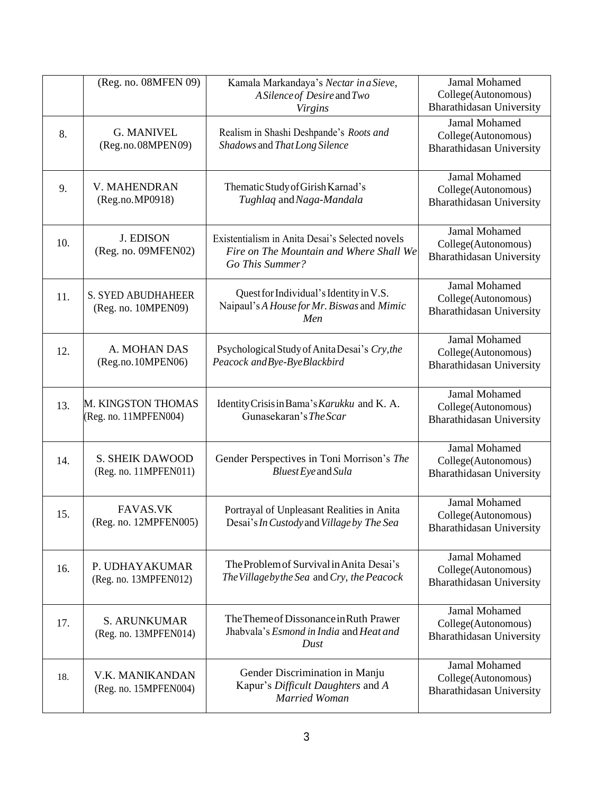|     | (Reg. no. 08MFEN 09)                             | Kamala Markandaya's Nectar in a Sieve,<br>A Silence of Desire and Two<br><b>Virgins</b>                       | Jamal Mohamed<br>College(Autonomous)<br><b>Bharathidasan University</b>        |
|-----|--------------------------------------------------|---------------------------------------------------------------------------------------------------------------|--------------------------------------------------------------------------------|
| 8.  | <b>G. MANIVEL</b><br>(Reg.no.08MPEN09)           | Realism in Shashi Deshpande's Roots and<br>Shadows and That Long Silence                                      | <b>Jamal Mohamed</b><br>College(Autonomous)<br>Bharathidasan University        |
| 9.  | V. MAHENDRAN<br>(Reg.no.MP0918)                  | Thematic Study of Girish Karnad's<br>Tughlaq and Naga-Mandala                                                 | <b>Jamal Mohamed</b><br>College(Autonomous)<br>Bharathidasan University        |
| 10. | <b>J. EDISON</b><br>(Reg. no. 09MFEN02)          | Existentialism in Anita Desai's Selected novels<br>Fire on The Mountain and Where Shall We<br>Go This Summer? | Jamal Mohamed<br>College(Autonomous)<br>Bharathidasan University               |
| 11. | <b>S. SYED ABUDHAHEER</b><br>(Reg. no. 10MPEN09) | Quest for Individual's Identity in V.S.<br>Naipaul's A House for Mr. Biswas and Mimic<br>Men                  | <b>Jamal Mohamed</b><br>College(Autonomous)<br>Bharathidasan University        |
| 12. | A. MOHAN DAS<br>(Reg.no.10MPEN06)                | Psychological Study of Anita Desai's Cry, the<br>Peacock and Bye-Bye Blackbird                                | <b>Jamal Mohamed</b><br>College(Autonomous)<br>Bharathidasan University        |
| 13. | M. KINGSTON THOMAS<br>(Reg. no. 11MPFEN004)      | Identity Crisis in Bama's Karukku and K. A.<br>Gunasekaran's The Scar                                         | Jamal Mohamed<br>College(Autonomous)<br>Bharathidasan University               |
| 14. | <b>S. SHEIK DAWOOD</b><br>(Reg. no. 11MPFEN011)  | Gender Perspectives in Toni Morrison's The<br>Bluest Eye and Sula                                             | Jamal Mohamed<br>College(Autonomous)<br><b>Bharathidasan University</b>        |
| 15. | <b>FAVAS.VK</b><br>(Reg. no. 12MPFEN005)         | Portrayal of Unpleasant Realities in Anita<br>Desai's In Custody and Village by The Sea                       | <b>Jamal Mohamed</b><br>College(Autonomous)<br>Bharathidasan University        |
| 16. | P. UDHAYAKUMAR<br>(Reg. no. 13MPFEN012)          | The Problem of Survival in Anita Desai's<br>The Village by the Sea and Cry, the Peacock                       | Jamal Mohamed<br>College(Autonomous)<br>Bharathidasan University               |
| 17. | <b>S. ARUNKUMAR</b><br>(Reg. no. 13MPFEN014)     | The Theme of Dissonance in Ruth Prawer<br>Jhabvala's Esmond in India and Heat and<br>Dust                     | <b>Jamal Mohamed</b><br>College(Autonomous)<br><b>Bharathidasan University</b> |
| 18. | V.K. MANIKANDAN<br>(Reg. no. 15MPFEN004)         | Gender Discrimination in Manju<br>Kapur's Difficult Daughters and A<br>Married Woman                          | Jamal Mohamed<br>College(Autonomous)<br>Bharathidasan University               |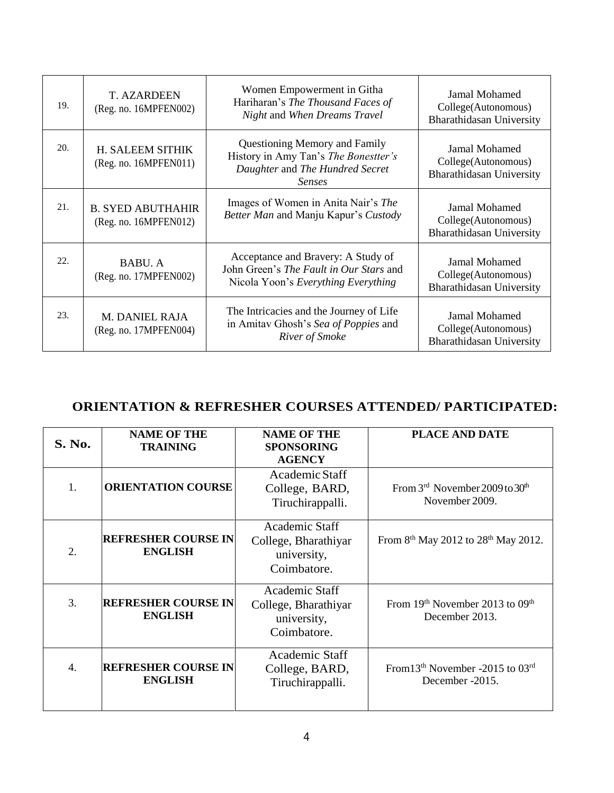| 19. | <b>T. AZARDEEN</b><br>(Reg. no. 16MPFEN002)       | Women Empowerment in Githa<br>Hariharan's The Thousand Faces of<br>Night and When Dreams Travel                           | Jamal Mohamed<br>College(Autonomous)<br><b>Bharathidasan University</b>        |
|-----|---------------------------------------------------|---------------------------------------------------------------------------------------------------------------------------|--------------------------------------------------------------------------------|
| 20. | H. SALEEM SITHIK<br>(Reg. no. 16MPFEN011)         | Questioning Memory and Family<br>History in Amy Tan's The Bonestter's<br>Daughter and The Hundred Secret<br><i>Senses</i> | Jamal Mohamed<br>College(Autonomous)<br><b>Bharathidasan University</b>        |
| 21. | <b>B. SYED ABUTHAHIR</b><br>(Reg. no. 16MPFEN012) | Images of Women in Anita Nair's The<br>Better Man and Manju Kapur's Custody                                               | <b>Jamal Mohamed</b><br>College(Autonomous)<br><b>Bharathidasan University</b> |
| 22. | BABU. A<br>(Reg. no. 17MPFEN002)                  | Acceptance and Bravery: A Study of<br>John Green's The Fault in Our Stars and<br>Nicola Yoon's Everything Everything      | <b>Jamal Mohamed</b><br>College(Autonomous)<br><b>Bharathidasan University</b> |
| 23. | M. DANIEL RAJA<br>(Reg. no. 17MPFEN004)           | The Intricacies and the Journey of Life<br>in Amitav Ghosh's Sea of Poppies and<br>River of Smoke                         | Jamal Mohamed<br>College(Autonomous)<br><b>Bharathidasan University</b>        |

# **ORIENTATION & REFRESHER COURSES ATTENDED/ PARTICIPATED:**

| <b>S. No.</b> | <b>NAME OF THE</b><br><b>TRAINING</b>        | <b>NAME OF THE</b><br><b>SPONSORING</b><br><b>AGENCY</b>                    | <b>PLACE AND DATE</b>                                       |
|---------------|----------------------------------------------|-----------------------------------------------------------------------------|-------------------------------------------------------------|
| 1.            | <b>ORIENTATION COURSE</b>                    | Academic Staff<br>College, BARD,<br>Tiruchirappalli.                        | From $3rd$ November 2009 to $30th$<br>November 2009.        |
| 2.            | <b>REFRESHER COURSE IN</b><br><b>ENGLISH</b> | Academic Staff<br>College, Bharathiyar<br>university,<br>Coimbatore.        | From 8 <sup>th</sup> May 2012 to 28 <sup>th</sup> May 2012. |
| 3.            | <b>REFRESHER COURSE IN</b><br><b>ENGLISH</b> | <b>Academic Staff</b><br>College, Bharathiyar<br>university,<br>Coimbatore. | From 19th November 2013 to 09th<br>December 2013.           |
| 4.            | <b>REFRESHER COURSE IN</b><br><b>ENGLISH</b> | <b>Academic Staff</b><br>College, BARD,<br>Tiruchirappalli.                 | From $13th$ November -2015 to $03rd$<br>December -2015.     |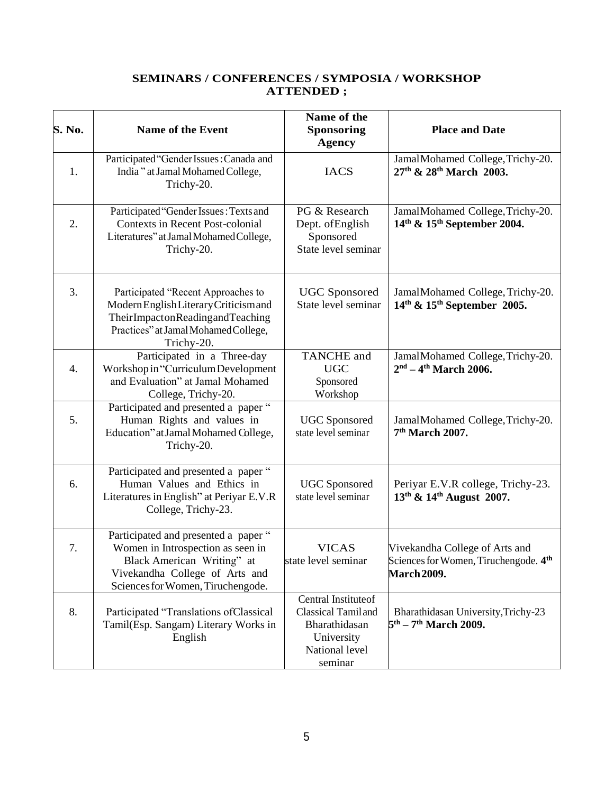### **SEMINARS / CONFERENCES / SYMPOSIA / WORKSHOP ATTENDED ;**

| S. No. | <b>Name of the Event</b>                                                                                                                                                       | Name of the<br><b>Sponsoring</b><br><b>Agency</b>                                                     | <b>Place and Date</b>                                                                                     |
|--------|--------------------------------------------------------------------------------------------------------------------------------------------------------------------------------|-------------------------------------------------------------------------------------------------------|-----------------------------------------------------------------------------------------------------------|
| 1.     | Participated "Gender Issues: Canada and<br>India" at Jamal Mohamed College,<br>Trichy-20.                                                                                      | <b>IACS</b>                                                                                           | JamalMohamed College, Trichy-20.<br>27th & 28th March 2003.                                               |
| 2.     | Participated "Gender Issues: Texts and<br><b>Contexts in Recent Post-colonial</b><br>Literatures" at Jamal Mohamed College,<br>Trichy-20.                                      | PG & Research<br>Dept. ofEnglish<br>Sponsored<br>State level seminar                                  | JamalMohamed College, Trichy-20.<br>14th & 15th September 2004.                                           |
| 3.     | Participated "Recent Approaches to<br>Modern English Literary Criticism and<br>TheirImpactonReadingandTeaching<br>Practices" at Jamal Mohamed College,<br>Trichy-20.           | <b>UGC</b> Sponsored<br>State level seminar                                                           | JamalMohamed College, Trichy-20.<br>$14th$ & $15th$ September 2005.                                       |
| 4.     | Participated in a Three-day<br>Workshop in "Curriculum Development<br>and Evaluation" at Jamal Mohamed<br>College, Trichy-20.                                                  | <b>TANCHE</b> and<br><b>UGC</b><br>Sponsored<br>Workshop                                              | JamalMohamed College, Trichy-20.<br>$2nd - 4th March 2006.$                                               |
| 5.     | Participated and presented a paper "<br>Human Rights and values in<br>Education" at Jamal Mohamed College,<br>Trichy-20.                                                       | <b>UGC</b> Sponsored<br>state level seminar                                                           | JamalMohamed College, Trichy-20.<br>7 <sup>th</sup> March 2007.                                           |
| 6.     | Participated and presented a paper "<br>Human Values and Ethics in<br>Literatures in English" at Periyar E.V.R<br>College, Trichy-23.                                          | <b>UGC</b> Sponsored<br>state level seminar                                                           | Periyar E.V.R college, Trichy-23.<br>13 <sup>th</sup> & 14 <sup>th</sup> August 2007.                     |
| 7.     | Participated and presented a paper "<br>Women in Introspection as seen in<br>Black American Writing" at<br>Vivekandha College of Arts and<br>Sciences for Women, Tiruchengode. | <b>VICAS</b><br>state level seminar                                                                   | Vivekandha College of Arts and<br>Sciences for Women, Tiruchengode. 4 <sup>th</sup><br><b>March 2009.</b> |
| 8.     | Participated "Translations of Classical<br>Tamil(Esp. Sangam) Literary Works in<br>English                                                                                     | Central Instituteof<br>Classical Tamiland<br>Bharathidasan<br>University<br>National level<br>seminar | Bharathidasan University, Trichy-23<br>$5^{\text{th}} - 7^{\text{th}}$ March 2009.                        |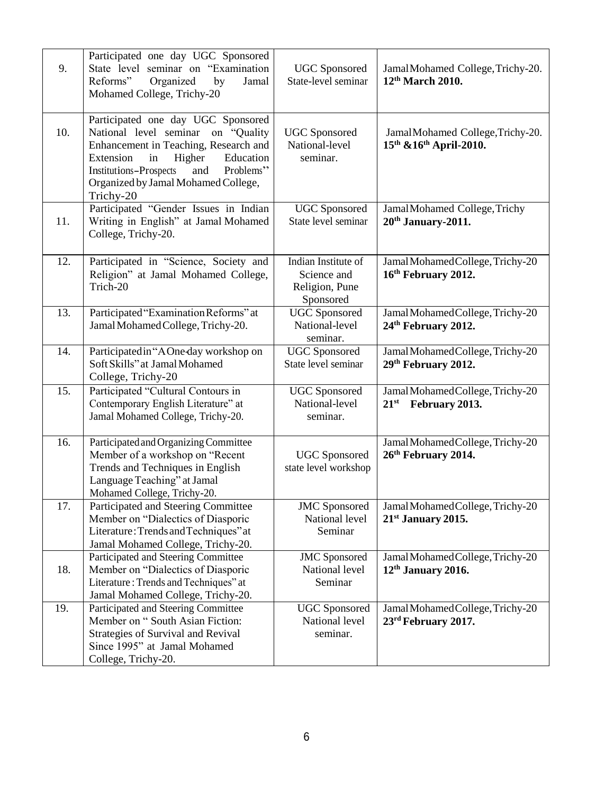| 9.  | Participated one day UGC Sponsored<br>State level seminar on "Examination<br>Reforms"<br>Organized<br>by<br>Jamal<br>Mohamed College, Trichy-20                                                                                                                         | <b>UGC</b> Sponsored<br>State-level seminar                       | JamalMohamed College, Trichy-20.<br>12 <sup>th</sup> March 2010.    |
|-----|-------------------------------------------------------------------------------------------------------------------------------------------------------------------------------------------------------------------------------------------------------------------------|-------------------------------------------------------------------|---------------------------------------------------------------------|
| 10. | Participated one day UGC Sponsored<br>National level seminar<br>on "Quality<br>Enhancement in Teaching, Research and<br>Extension<br>Higher<br>Education<br>in<br><b>Institutions-Prospects</b><br>Problems"<br>and<br>Organized by Jamal Mohamed College,<br>Trichy-20 | <b>UGC</b> Sponsored<br>National-level<br>seminar.                | JamalMohamed College, Trichy-20.<br>15th & 16th April-2010.         |
| 11. | Participated "Gender Issues in Indian<br>Writing in English" at Jamal Mohamed<br>College, Trichy-20.                                                                                                                                                                    | <b>UGC</b> Sponsored<br>State level seminar                       | JamalMohamed College, Trichy<br>20 <sup>th</sup> January-2011.      |
| 12. | Participated in "Science, Society and<br>Religion" at Jamal Mohamed College,<br>Trich-20                                                                                                                                                                                | Indian Institute of<br>Science and<br>Religion, Pune<br>Sponsored | Jamal Mohamed College, Trichy-20<br>16th February 2012.             |
| 13. | Participated "Examination Reforms" at<br>Jamal Mohamed College, Trichy-20.                                                                                                                                                                                              | <b>UGC</b> Sponsored<br>National-level<br>seminar.                | Jamal Mohamed College, Trichy-20<br>24 <sup>th</sup> February 2012. |
| 14. | Participated in "A One-day workshop on<br>Soft Skills" at Jamal Mohamed<br>College, Trichy-20                                                                                                                                                                           | <b>UGC</b> Sponsored<br>State level seminar                       | Jamal Mohamed College, Trichy-20<br>29 <sup>th</sup> February 2012. |
| 15. | Participated "Cultural Contours in<br>Contemporary English Literature" at<br>Jamal Mohamed College, Trichy-20.                                                                                                                                                          | <b>UGC</b> Sponsored<br>National-level<br>seminar.                | Jamal Mohamed College, Trichy-20<br>$21^{st}$<br>February 2013.     |
| 16. | Participated and Organizing Committee<br>Member of a workshop on "Recent<br>Trends and Techniques in English<br>Language Teaching" at Jamal<br>Mohamed College, Trichy-20.                                                                                              | <b>UGC</b> Sponsored<br>state level workshop                      | Jamal Mohamed College, Trichy-20<br>26 <sup>th</sup> February 2014. |
| 17. | Participated and Steering Committee<br>Member on "Dialectics of Diasporic<br>Literature: Trends and Techniques" at<br>Jamal Mohamed College, Trichy-20.                                                                                                                 | <b>JMC</b> Sponsored<br>National level<br>Seminar                 | Jamal Mohamed College, Trichy-20<br>$21st$ January 2015.            |
| 18. | Participated and Steering Committee<br>Member on "Dialectics of Diasporic<br>Literature: Trends and Techniques" at<br>Jamal Mohamed College, Trichy-20.                                                                                                                 | <b>JMC</b> Sponsored<br>National level<br>Seminar                 | Jamal Mohamed College, Trichy-20<br>12 <sup>th</sup> January 2016.  |
| 19. | Participated and Steering Committee<br>Member on "South Asian Fiction:<br>Strategies of Survival and Revival<br>Since 1995" at Jamal Mohamed<br>College, Trichy-20.                                                                                                     | <b>UGC</b> Sponsored<br>National level<br>seminar.                | Jamal Mohamed College, Trichy-20<br>23 <sup>rd</sup> February 2017. |